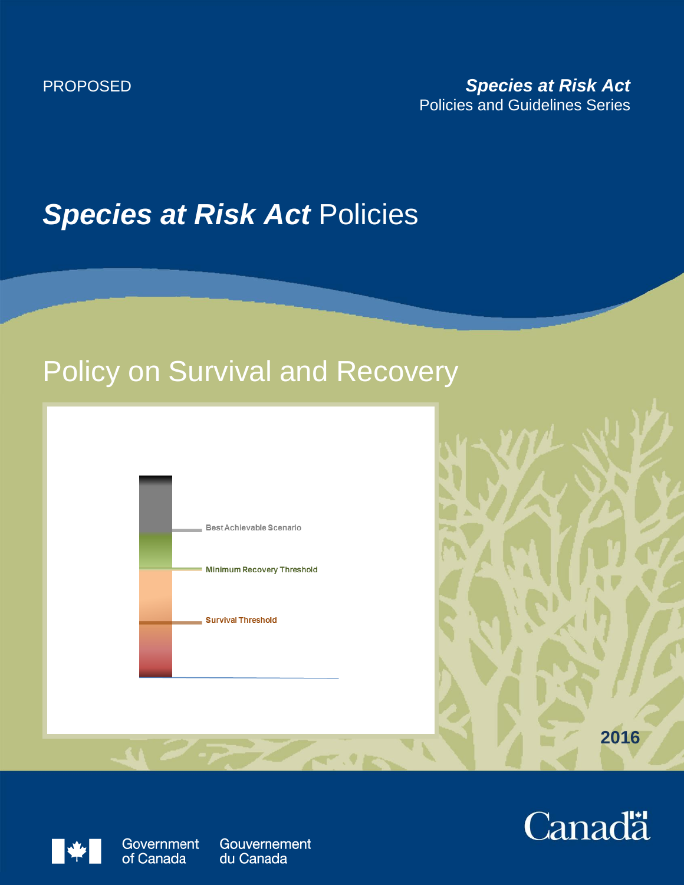#### PROPOSED

#### *Species at Risk Act* Policies and Guidelines Series

# *Species at Risk Act* Policies

# Policy on Survival and Recovery







Government of Canada

Gouvernement du Canada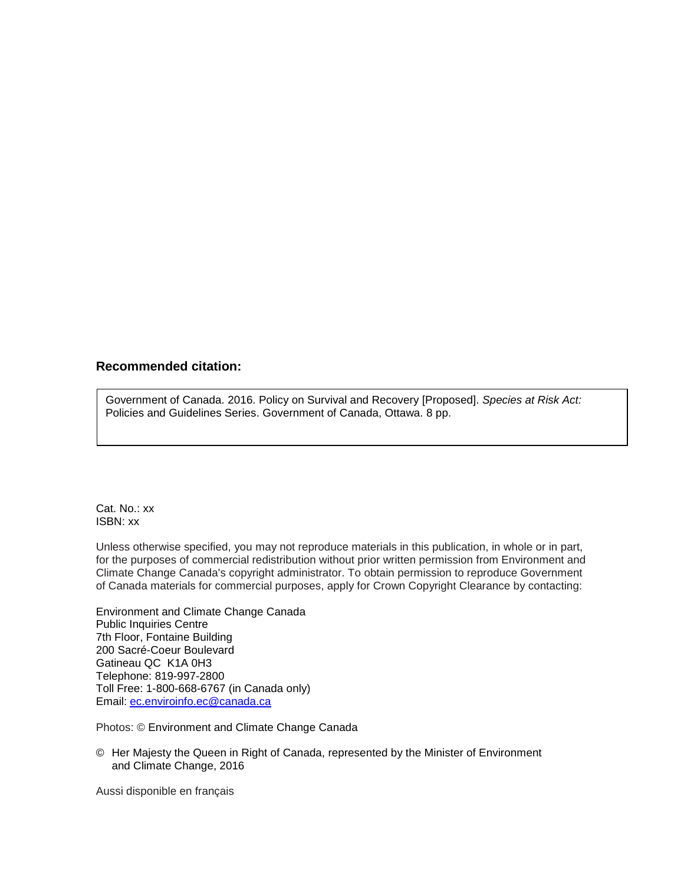#### **Recommended citation:**

Government of Canada. 2016. Policy on Survival and Recovery [Proposed]. *Species at Risk Act:*  Policies and Guidelines Series. Government of Canada, Ottawa. 8 pp.

Cat. No.: xx ISBN: xx

Unless otherwise specified, you may not reproduce materials in this publication, in whole or in part, for the purposes of commercial redistribution without prior written permission from Environment and Climate Change Canada's copyright administrator. To obtain permission to reproduce Government of Canada materials for commercial purposes, apply for Crown Copyright Clearance by contacting:

Environment and Climate Change Canada Public Inquiries Centre 7th Floor, Fontaine Building 200 Sacré-Coeur Boulevard Gatineau QC K1A 0H3 Telephone: 819-997-2800 Toll Free: 1-800-668-6767 (in Canada only) Email: [ec.enviroinfo.ec@canada.ca](mailto:ec.enviroinfo.ec@canada.ca)

Photos: © Environment and Climate Change Canada

© Her Majesty the Queen in Right of Canada, represented by the Minister of Environment and Climate Change, 2016

Aussi disponible en français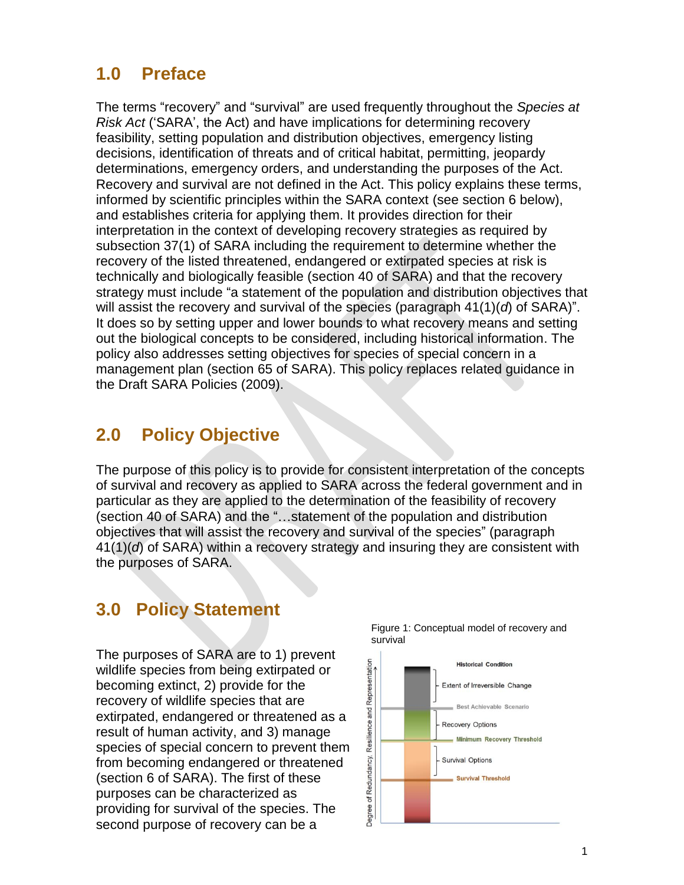### **1.0 Preface**

The terms "recovery" and "survival" are used frequently throughout the *Species at Risk Act* ('SARA', the Act) and have implications for determining recovery feasibility, setting population and distribution objectives, emergency listing decisions, identification of threats and of critical habitat, permitting, jeopardy determinations, emergency orders, and understanding the purposes of the Act. Recovery and survival are not defined in the Act. This policy explains these terms, informed by scientific principles within the SARA context (see section 6 below), and establishes criteria for applying them. It provides direction for their interpretation in the context of developing recovery strategies as required by subsection 37(1) of SARA including the requirement to determine whether the recovery of the listed threatened, endangered or extirpated species at risk is technically and biologically feasible (section 40 of SARA) and that the recovery strategy must include "a statement of the population and distribution objectives that will assist the recovery and survival of the species (paragraph 41(1)(*d*) of SARA)". It does so by setting upper and lower bounds to what recovery means and setting out the biological concepts to be considered, including historical information. The policy also addresses setting objectives for species of special concern in a management plan (section 65 of SARA). This policy replaces related guidance in the Draft SARA Policies (2009).

# **2.0 Policy Objective**

The purpose of this policy is to provide for consistent interpretation of the concepts of survival and recovery as applied to SARA across the federal government and in particular as they are applied to the determination of the feasibility of recovery (section 40 of SARA) and the "…statement of the population and distribution objectives that will assist the recovery and survival of the species" (paragraph 41(1)(*d*) of SARA) within a recovery strategy and insuring they are consistent with the purposes of SARA.

# **3.0 Policy Statement**

The purposes of SARA are to 1) prevent wildlife species from being extirpated or becoming extinct, 2) provide for the recovery of wildlife species that are extirpated, endangered or threatened as a result of human activity, and 3) manage species of special concern to prevent them from becoming endangered or threatened (section 6 of SARA). The first of these purposes can be characterized as providing for survival of the species. The second purpose of recovery can be a



Figure 1: Conceptual model of recovery and survival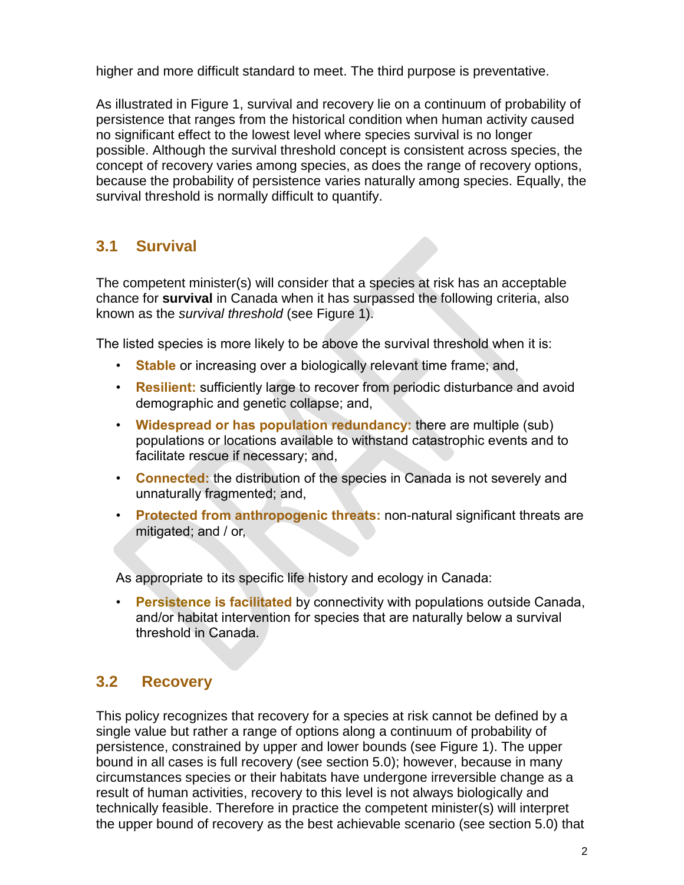higher and more difficult standard to meet. The third purpose is preventative.

As illustrated in Figure 1, survival and recovery lie on a continuum of probability of persistence that ranges from the historical condition when human activity caused no significant effect to the lowest level where species survival is no longer possible. Although the survival threshold concept is consistent across species, the concept of recovery varies among species, as does the range of recovery options, because the probability of persistence varies naturally among species. Equally, the survival threshold is normally difficult to quantify.

### **3.1 Survival**

The competent minister(s) will consider that a species at risk has an acceptable chance for **survival** in Canada when it has surpassed the following criteria, also known as the *survival threshold* (see Figure 1).

The listed species is more likely to be above the survival threshold when it is:

- **Stable** or increasing over a biologically relevant time frame; and,
- **Resilient:** sufficiently large to recover from periodic disturbance and avoid demographic and genetic collapse; and,
- **Widespread or has population redundancy:** there are multiple (sub) populations or locations available to withstand catastrophic events and to facilitate rescue if necessary; and,
- **Connected:** the distribution of the species in Canada is not severely and unnaturally fragmented; and,
- **Protected from anthropogenic threats:** non-natural significant threats are mitigated; and / or,

As appropriate to its specific life history and ecology in Canada:

**Persistence is facilitated** by connectivity with populations outside Canada, and/or habitat intervention for species that are naturally below a survival threshold in Canada.

### **3.2 Recovery**

This policy recognizes that recovery for a species at risk cannot be defined by a single value but rather a range of options along a continuum of probability of persistence, constrained by upper and lower bounds (see Figure 1). The upper bound in all cases is full recovery (see section 5.0); however, because in many circumstances species or their habitats have undergone irreversible change as a result of human activities, recovery to this level is not always biologically and technically feasible. Therefore in practice the competent minister(s) will interpret the upper bound of recovery as the best achievable scenario (see section 5.0) that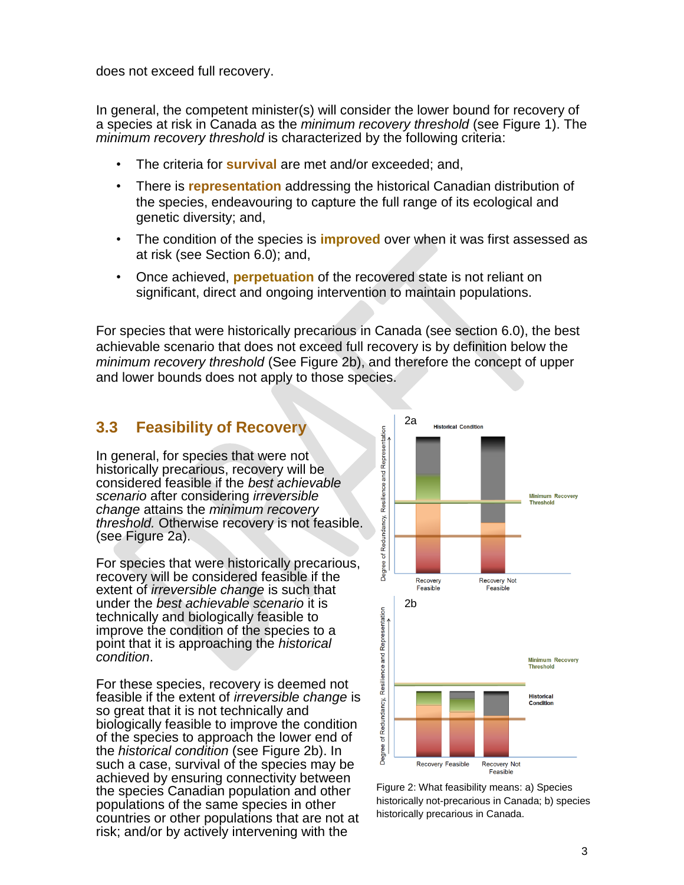does not exceed full recovery.

In general, the competent minister(s) will consider the lower bound for recovery of a species at risk in Canada as the *minimum recovery threshold* (see Figure 1). The *minimum recovery threshold* is characterized by the following criteria:

- The criteria for **survival** are met and/or exceeded; and,
- There is **representation** addressing the historical Canadian distribution of the species, endeavouring to capture the full range of its ecological and genetic diversity; and,
- The condition of the species is **improved** over when it was first assessed as at risk (see Section 6.0); and,
- Once achieved, **perpetuation** of the recovered state is not reliant on significant, direct and ongoing intervention to maintain populations.

For species that were historically precarious in Canada (see section 6.0), the best achievable scenario that does not exceed full recovery is by definition below the *minimum recovery threshold* (See Figure 2b), and therefore the concept of upper and lower bounds does not apply to those species.

#### **3.3 Feasibility of Recovery**

In general, for species that were not historically precarious, recovery will be considered feasible if the *best achievable scenario* after considering *irreversible change* attains the *minimum recovery threshold.* Otherwise recovery is not feasible. (see Figure 2a).

For species that were historically precarious, recovery will be considered feasible if the extent of *irreversible change* is such that under the *best achievable scenario* it is technically and biologically feasible to improve the condition of the species to a point that it is approaching the *historical condition*.

For these species, recovery is deemed not feasible if the extent of *irreversible change* is so great that it is not technically and biologically feasible to improve the condition of the species to approach the lower end of the *historical condition* (see Figure 2b). In such a case, survival of the species may be achieved by ensuring connectivity between the species Canadian population and other populations of the same species in other countries or other populations that are not at risk; and/or by actively intervening with the



Figure 2: What feasibility means: a) Species historically not-precarious in Canada; b) species historically precarious in Canada.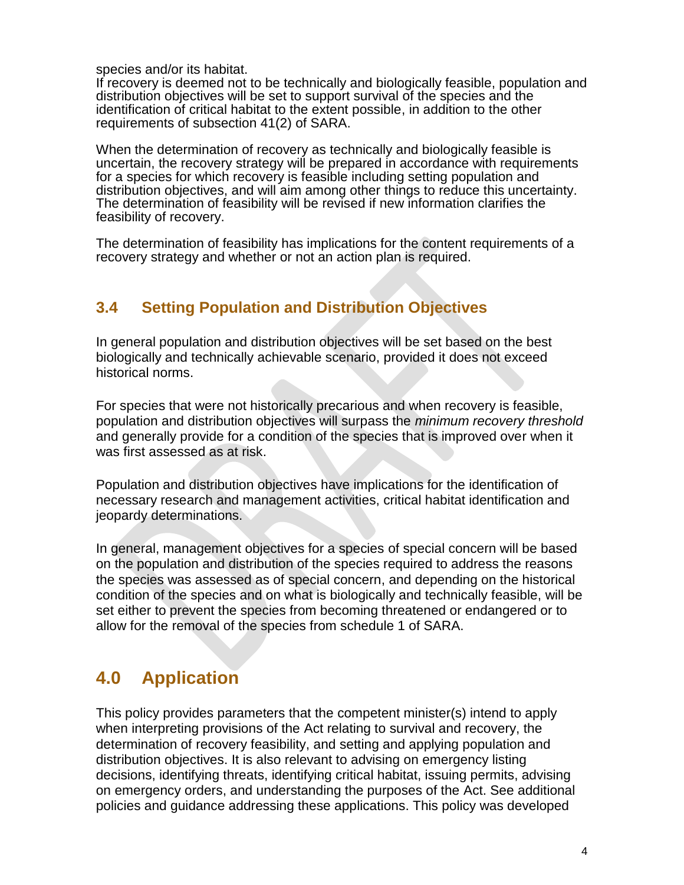species and/or its habitat.

If recovery is deemed not to be technically and biologically feasible, population and distribution objectives will be set to support survival of the species and the identification of critical habitat to the extent possible, in addition to the other requirements of subsection 41(2) of SARA.

When the determination of recovery as technically and biologically feasible is uncertain, the recovery strategy will be prepared in accordance with requirements for a species for which recovery is feasible including setting population and distribution objectives, and will aim among other things to reduce this uncertainty. The determination of feasibility will be revised if new information clarifies the feasibility of recovery.

The determination of feasibility has implications for the content requirements of a recovery strategy and whether or not an action plan is required.

#### **3.4 Setting Population and Distribution Objectives**

In general population and distribution objectives will be set based on the best biologically and technically achievable scenario, provided it does not exceed historical norms.

For species that were not historically precarious and when recovery is feasible, population and distribution objectives will surpass the *minimum recovery threshold* and generally provide for a condition of the species that is improved over when it was first assessed as at risk.

Population and distribution objectives have implications for the identification of necessary research and management activities, critical habitat identification and jeopardy determinations.

In general, management objectives for a species of special concern will be based on the population and distribution of the species required to address the reasons the species was assessed as of special concern, and depending on the historical condition of the species and on what is biologically and technically feasible, will be set either to prevent the species from becoming threatened or endangered or to allow for the removal of the species from schedule 1 of SARA.

# **4.0 Application**

This policy provides parameters that the competent minister(s) intend to apply when interpreting provisions of the Act relating to survival and recovery, the determination of recovery feasibility, and setting and applying population and distribution objectives. It is also relevant to advising on emergency listing decisions, identifying threats, identifying critical habitat, issuing permits, advising on emergency orders, and understanding the purposes of the Act. See additional policies and guidance addressing these applications. This policy was developed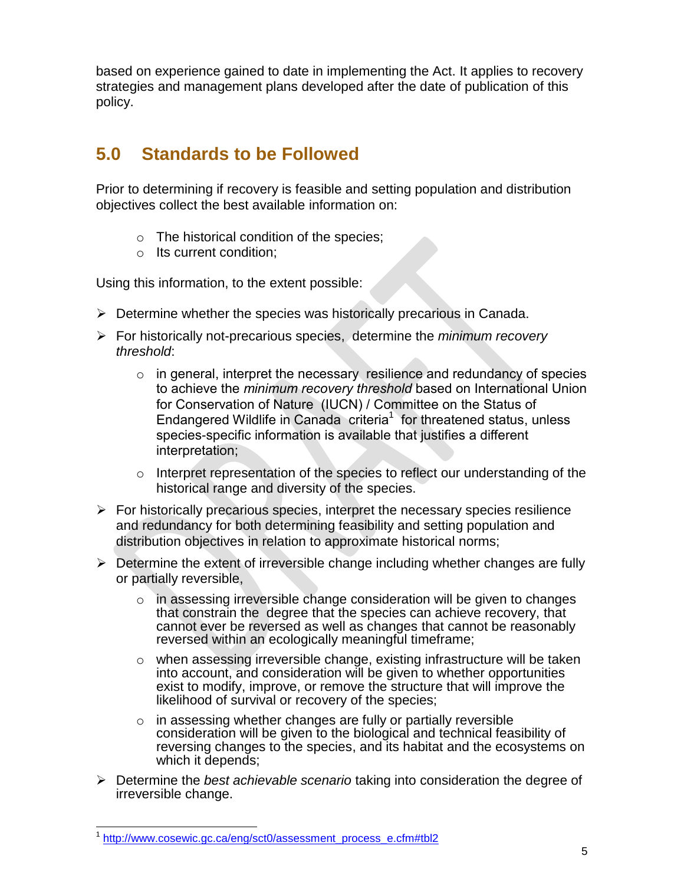based on experience gained to date in implementing the Act. It applies to recovery strategies and management plans developed after the date of publication of this policy.

# **5.0 Standards to be Followed**

Prior to determining if recovery is feasible and setting population and distribution objectives collect the best available information on:

- o The historical condition of the species;
- o Its current condition;

Using this information, to the extent possible:

- $\triangleright$  Determine whether the species was historically precarious in Canada.
- For historically not-precarious species, determine the *minimum recovery threshold*:
	- $\circ$  in general, interpret the necessary resilience and redundancy of species to achieve the *minimum recovery threshold* based on International Union for Conservation of Nature (IUCN) / Committee on the Status of Endangered Wildlife in Canada criteria<sup>1</sup> for threatened status, unless species-specific information is available that justifies a different interpretation;
	- o Interpret representation of the species to reflect our understanding of the historical range and diversity of the species.
- $\triangleright$  For historically precarious species, interpret the necessary species resilience and redundancy for both determining feasibility and setting population and distribution objectives in relation to approximate historical norms;
- $\triangleright$  Determine the extent of irreversible change including whether changes are fully or partially reversible,
	- $\circ$  in assessing irreversible change consideration will be given to changes that constrain the degree that the species can achieve recovery, that cannot ever be reversed as well as changes that cannot be reasonably reversed within an ecologically meaningful timeframe;
	- o when assessing irreversible change, existing infrastructure will be taken into account, and consideration will be given to whether opportunities exist to modify, improve, or remove the structure that will improve the likelihood of survival or recovery of the species;
	- $\circ$  in assessing whether changes are fully or partially reversible consideration will be given to the biological and technical feasibility of reversing changes to the species, and its habitat and the ecosystems on which it depends;
- Determine the *best achievable scenario* taking into consideration the degree of irreversible change.

l

<sup>1</sup> [http://www.cosewic.gc.ca/eng/sct0/assessment\\_process\\_e.cfm#tbl2](http://www.cosewic.gc.ca/eng/sct0/assessment_process_e.cfm#tbl2)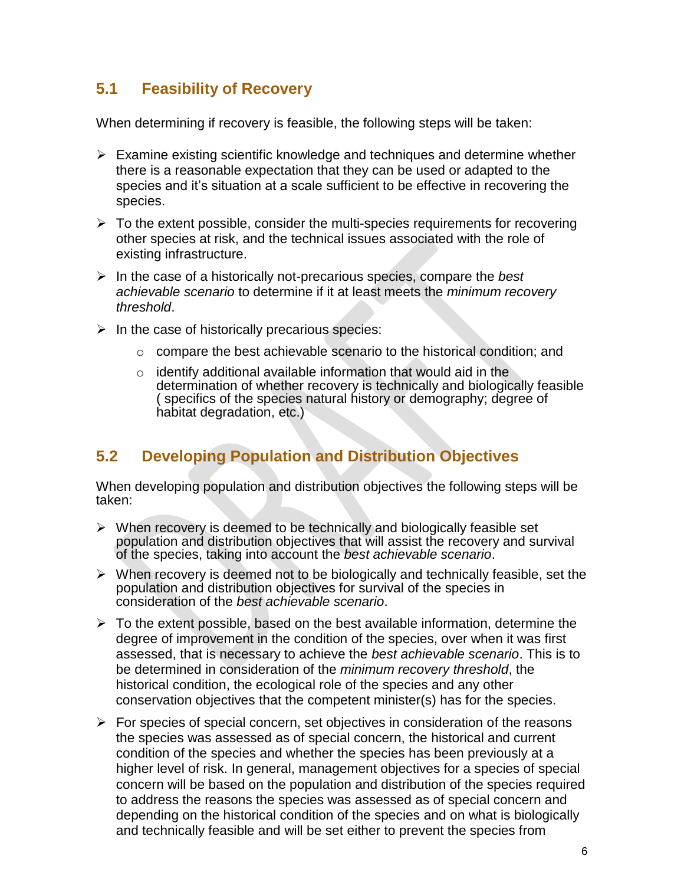### **5.1 Feasibility of Recovery**

When determining if recovery is feasible, the following steps will be taken:

- $\triangleright$  Examine existing scientific knowledge and techniques and determine whether there is a reasonable expectation that they can be used or adapted to the species and it's situation at a scale sufficient to be effective in recovering the species.
- $\triangleright$  To the extent possible, consider the multi-species requirements for recovering other species at risk, and the technical issues associated with the role of existing infrastructure.
- In the case of a historically not-precarious species, compare the *best achievable scenario* to determine if it at least meets the *minimum recovery threshold*.
- $\triangleright$  In the case of historically precarious species:
	- o compare the best achievable scenario to the historical condition; and
	- $\circ$  identify additional available information that would aid in the determination of whether recovery is technically and biologically feasible ( specifics of the species natural history or demography; degree of habitat degradation, etc.)

### **5.2 Developing Population and Distribution Objectives**

When developing population and distribution objectives the following steps will be taken:

- $\triangleright$  When recovery is deemed to be technically and biologically feasible set population and distribution objectives that will assist the recovery and survival of the species, taking into account the *best achievable scenario*.
- $\triangleright$  When recovery is deemed not to be biologically and technically feasible, set the population and distribution objectives for survival of the species in consideration of the *best achievable scenario*.
- $\triangleright$  To the extent possible, based on the best available information, determine the degree of improvement in the condition of the species, over when it was first assessed, that is necessary to achieve the *best achievable scenario*. This is to be determined in consideration of the *minimum recovery threshold*, the historical condition, the ecological role of the species and any other conservation objectives that the competent minister(s) has for the species.
- $\triangleright$  For species of special concern, set objectives in consideration of the reasons the species was assessed as of special concern, the historical and current condition of the species and whether the species has been previously at a higher level of risk. In general, management objectives for a species of special concern will be based on the population and distribution of the species required to address the reasons the species was assessed as of special concern and depending on the historical condition of the species and on what is biologically and technically feasible and will be set either to prevent the species from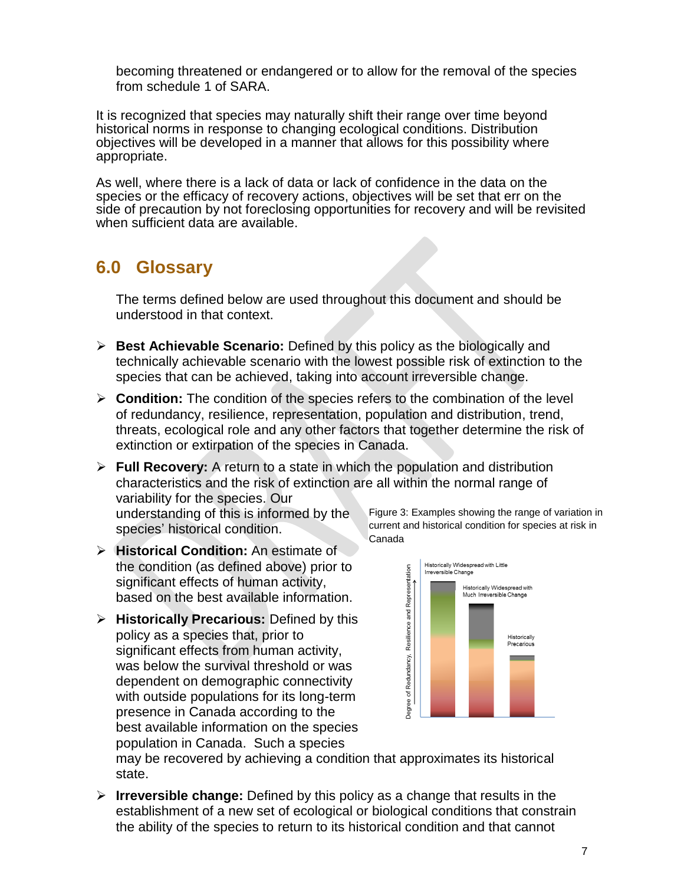becoming threatened or endangered or to allow for the removal of the species from schedule 1 of SARA.

It is recognized that species may naturally shift their range over time beyond historical norms in response to changing ecological conditions. Distribution objectives will be developed in a manner that allows for this possibility where appropriate.

As well, where there is a lack of data or lack of confidence in the data on the species or the efficacy of recovery actions, objectives will be set that err on the side of precaution by not foreclosing opportunities for recovery and will be revisited when sufficient data are available.

# **6.0 Glossary**

The terms defined below are used throughout this document and should be understood in that context.

- **Best Achievable Scenario:** Defined by this policy as the biologically and technically achievable scenario with the lowest possible risk of extinction to the species that can be achieved, taking into account irreversible change.
- **Condition:** The condition of the species refers to the combination of the level of redundancy, resilience, representation, population and distribution, trend, threats, ecological role and any other factors that together determine the risk of extinction or extirpation of the species in Canada.

Canada

 **Full Recovery:** A return to a state in which the population and distribution characteristics and the risk of extinction are all within the normal range of variability for the species. Our understanding of this is informed by the Figure 3: Examples showing the range of variation in

species' historical condition.

- **Historical Condition:** An estimate of the condition (as defined above) prior to significant effects of human activity, based on the best available information.
- **Historically Precarious:** Defined by this policy as a species that, prior to significant effects from human activity, was below the survival threshold or was dependent on demographic connectivity with outside populations for its long-term presence in Canada according to the best available information on the species population in Canada. Such a species



current and historical condition for species at risk in

may be recovered by achieving a condition that approximates its historical state.

 **Irreversible change:** Defined by this policy as a change that results in the establishment of a new set of ecological or biological conditions that constrain the ability of the species to return to its historical condition and that cannot